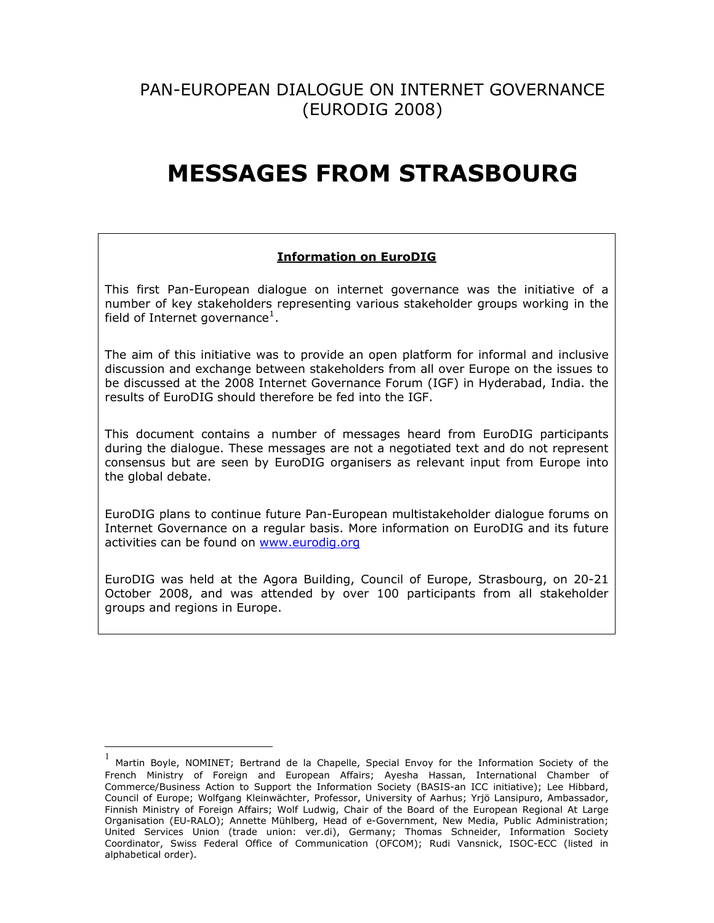# PAN-EUROPEAN DIALOGUE ON INTERNET GOVERNANCE (EURODIG 2008)

# **MESSAGES FROM STRASBOURG**

# **Information on EuroDIG**

This first Pan-European dialogue on internet governance was the initiative of a number of key stakeholders representing various stakeholder groups working in the field of Internet governance<sup>[1](#page-0-0)</sup>.

The aim of this initiative was to provide an open platform for informal and inclusive discussion and exchange between stakeholders from all over Europe on the issues to be discussed at the 2008 Internet Governance Forum (IGF) in Hyderabad, India. the results of EuroDIG should therefore be fed into the IGF.

This document contains a number of messages heard from EuroDIG participants during the dialogue. These messages are not a negotiated text and do not represent consensus but are seen by EuroDIG organisers as relevant input from Europe into the global debate.

EuroDIG plans to continue future Pan-European multistakeholder dialogue forums on Internet Governance on a regular basis. More information on EuroDIG and its future activities can be found on [www.eurodig.org](http://www.eurodig.org/)

EuroDIG was held at the Agora Building, Council of Europe, Strasbourg, on 20-21 October 2008, and was attended by over 100 participants from all stakeholder groups and regions in Europe.

 $\overline{a}$ 

<span id="page-0-0"></span><sup>1</sup> Martin Boyle, NOMINET; Bertrand de la Chapelle, Special Envoy for the Information Society of the French Ministry of Foreign and European Affairs; Ayesha Hassan, International Chamber of Commerce/Business Action to Support the Information Society (BASIS-an ICC initiative); Lee Hibbard, Council of Europe; Wolfgang Kleinwächter, Professor, University of Aarhus; Yrjö Lansipuro, Ambassador, Finnish Ministry of Foreign Affairs; Wolf Ludwig, Chair of the Board of the European Regional At Large Organisation (EU-RALO); Annette Mühlberg, Head of e-Government, New Media, Public Administration; United Services Union (trade union: ver.di), Germany; Thomas Schneider, Information Society Coordinator, Swiss Federal Office of Communication (OFCOM); Rudi Vansnick, ISOC-ECC (listed in alphabetical order).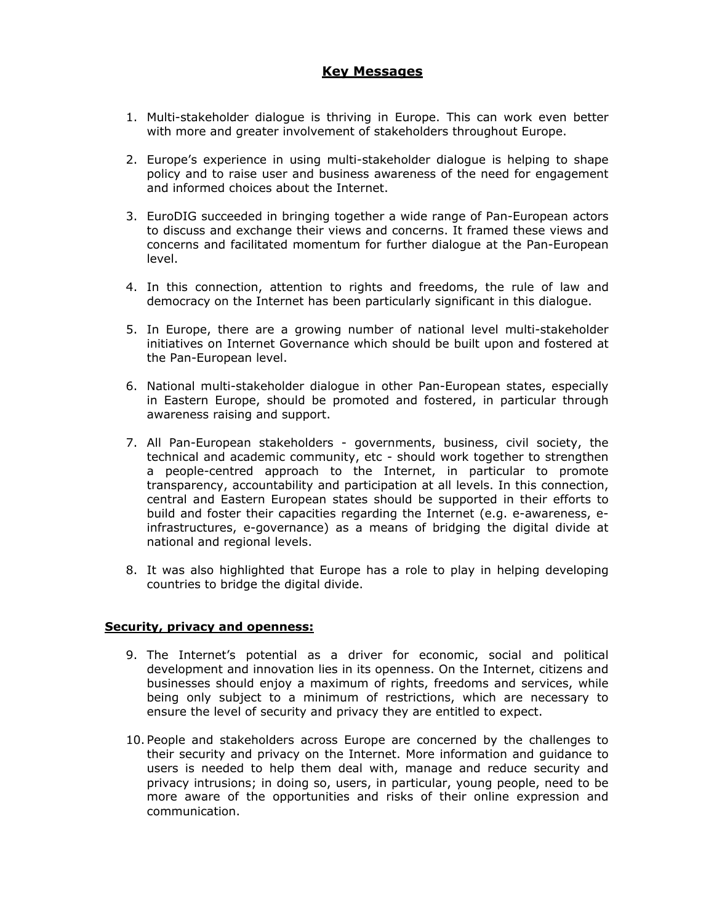# **Key Messages**

- 1. Multi-stakeholder dialogue is thriving in Europe. This can work even better with more and greater involvement of stakeholders throughout Europe.
- 2. Europe's experience in using multi-stakeholder dialogue is helping to shape policy and to raise user and business awareness of the need for engagement and informed choices about the Internet.
- 3. EuroDIG succeeded in bringing together a wide range of Pan-European actors to discuss and exchange their views and concerns. It framed these views and concerns and facilitated momentum for further dialogue at the Pan-European level.
- 4. In this connection, attention to rights and freedoms, the rule of law and democracy on the Internet has been particularly significant in this dialogue.
- 5. In Europe, there are a growing number of national level multi-stakeholder initiatives on Internet Governance which should be built upon and fostered at the Pan-European level.
- 6. National multi-stakeholder dialogue in other Pan-European states, especially in Eastern Europe, should be promoted and fostered, in particular through awareness raising and support.
- 7. All Pan-European stakeholders governments, business, civil society, the technical and academic community, etc - should work together to strengthen a people-centred approach to the Internet, in particular to promote transparency, accountability and participation at all levels. In this connection, central and Eastern European states should be supported in their efforts to build and foster their capacities regarding the Internet (e.g. e-awareness, einfrastructures, e-governance) as a means of bridging the digital divide at national and regional levels.
- 8. It was also highlighted that Europe has a role to play in helping developing countries to bridge the digital divide.

#### **Security, privacy and openness:**

- 9. The Internet's potential as a driver for economic, social and political development and innovation lies in its openness. On the Internet, citizens and businesses should enjoy a maximum of rights, freedoms and services, while being only subject to a minimum of restrictions, which are necessary to ensure the level of security and privacy they are entitled to expect.
- 10. People and stakeholders across Europe are concerned by the challenges to their security and privacy on the Internet. More information and guidance to users is needed to help them deal with, manage and reduce security and privacy intrusions; in doing so, users, in particular, young people, need to be more aware of the opportunities and risks of their online expression and communication.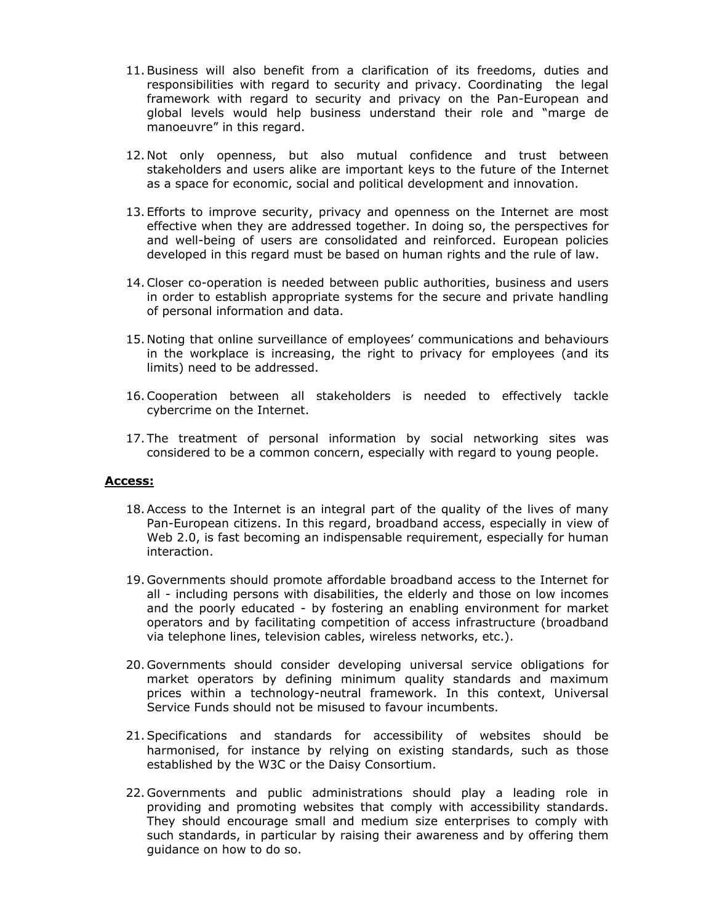- 11.Business will also benefit from a clarification of its freedoms, duties and responsibilities with regard to security and privacy. Coordinating the legal framework with regard to security and privacy on the Pan-European and global levels would help business understand their role and "marge de manoeuvre" in this regard.
- 12. Not only openness, but also mutual confidence and trust between stakeholders and users alike are important keys to the future of the Internet as a space for economic, social and political development and innovation.
- 13. Efforts to improve security, privacy and openness on the Internet are most effective when they are addressed together. In doing so, the perspectives for and well-being of users are consolidated and reinforced. European policies developed in this regard must be based on human rights and the rule of law.
- 14.Closer co-operation is needed between public authorities, business and users in order to establish appropriate systems for the secure and private handling of personal information and data.
- 15. Noting that online surveillance of employees' communications and behaviours in the workplace is increasing, the right to privacy for employees (and its limits) need to be addressed.
- 16.Cooperation between all stakeholders is needed to effectively tackle cybercrime on the Internet.
- 17. The treatment of personal information by social networking sites was considered to be a common concern, especially with regard to young people.

### **Access:**

- 18.Access to the Internet is an integral part of the quality of the lives of many Pan-European citizens. In this regard, broadband access, especially in view of Web 2.0, is fast becoming an indispensable requirement, especially for human interaction.
- 19. Governments should promote affordable broadband access to the Internet for all - including persons with disabilities, the elderly and those on low incomes and the poorly educated - by fostering an enabling environment for market operators and by facilitating competition of access infrastructure (broadband via telephone lines, television cables, wireless networks, etc.).
- 20. Governments should consider developing universal service obligations for market operators by defining minimum quality standards and maximum prices within a technology-neutral framework. In this context, Universal Service Funds should not be misused to favour incumbents.
- 21.Specifications and standards for accessibility of websites should be harmonised, for instance by relying on existing standards, such as those established by the W3C or the Daisy Consortium.
- 22. Governments and public administrations should play a leading role in providing and promoting websites that comply with accessibility standards. They should encourage small and medium size enterprises to comply with such standards, in particular by raising their awareness and by offering them guidance on how to do so.